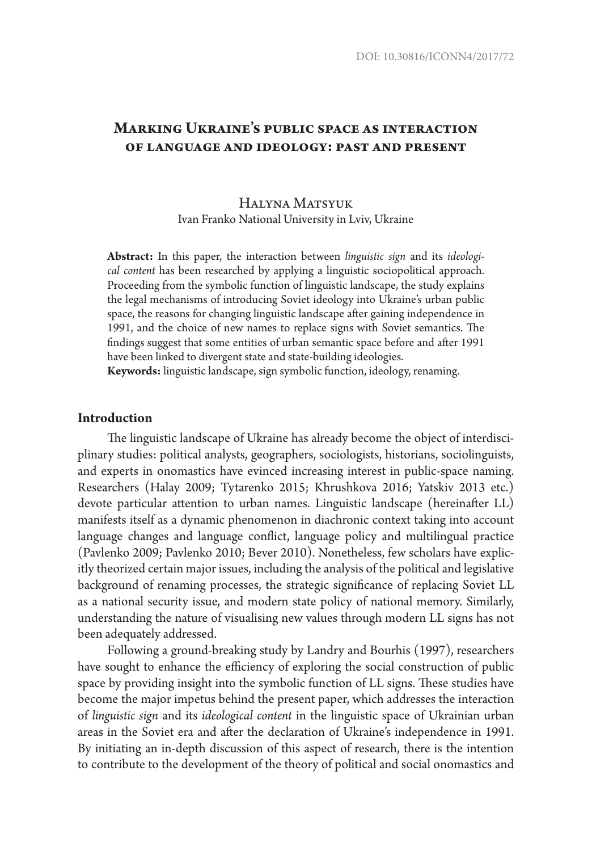# **Marking Ukraine's public space as interaction of language and ideology: past and present**

### Halyna Matsyuk Ivan Franko National University in Lviv, Ukraine

**Abstract:** In this paper, the interaction between *linguistic sign* and its *ideological content* has been researched by applying a linguistic sociopolitical approach. Proceeding from the symbolic function of linguistic landscape, the study explains the legal mechanisms of introducing Soviet ideology into Ukraine's urban public space, the reasons for changing linguistic landscape after gaining independence in 1991, and the choice of new names to replace signs with Soviet semantics. The findings suggest that some entities of urban semantic space before and after 1991 have been linked to divergent state and state-building ideologies.

**Keywords:** linguistic landscape, sign symbolic function, ideology, renaming.

### **Introduction**

The linguistic landscape of Ukraine has already become the object of interdisciplinary studies: political analysts, geographers, sociologists, historians, sociolinguists, and experts in onomastics have evinced increasing interest in public-space naming. Researchers (Halay 2009; Tytarenko 2015; Khrushkova 2016; Yatskiv 2013 etc.) devote particular attention to urban names. Linguistic landscape (hereinafter LL) manifests itself as a dynamic phenomenon in diachronic context taking into account language changes and language conflict, language policy and multilingual practice (Pavlenko 2009; Pavlenko 2010; Bever 2010). Nonetheless, few scholars have explicitly theorized certain major issues, including the analysis of the political and legislative background of renaming processes, the strategic significance of replacing Soviet LL as a national security issue, and modern state policy of national memory. Similarly, understanding the nature of visualising new values through modern LL signs has not been adequately addressed.

Following a ground-breaking study by Landry and Bourhis (1997), researchers have sought to enhance the efficiency of exploring the social construction of public space by providing insight into the symbolic function of LL signs. These studies have become the major impetus behind the present paper, which addresses the interaction of *linguistic sign* and its *ideological content* in the linguistic space of Ukrainian urban areas in the Soviet era and after the declaration of Ukraine's independence in 1991. By initiating an in-depth discussion of this aspect of research, there is the intention to contribute to the development of the theory of political and social onomastics and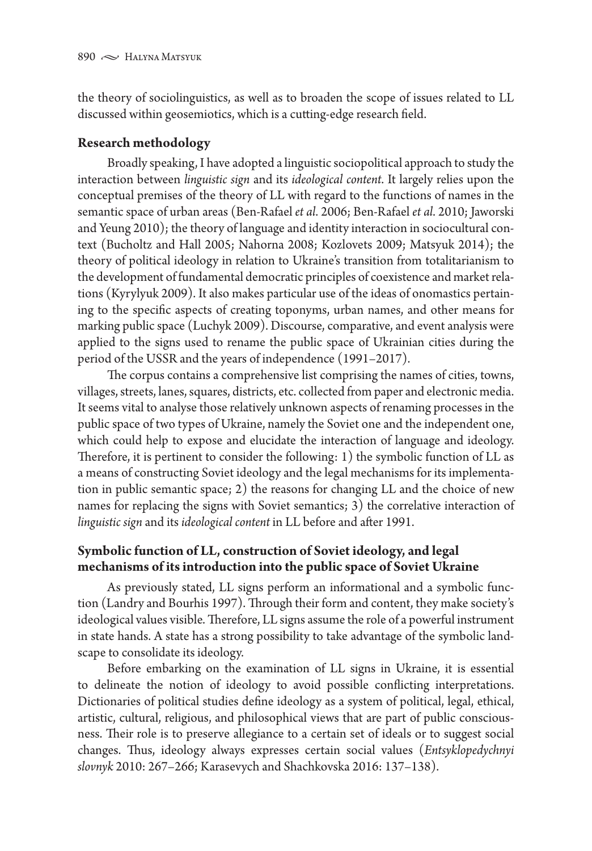the theory of sociolinguistics, as well as to broaden the scope of issues related to LL discussed within geosemiotics, which is a cutting-edge research field.

### **Research methodology**

Broadly speaking, I have adopted a linguistic sociopolitical approach to study the interaction between *linguistic sign* and its *ideological content*. It largely relies upon the conceptual premises of the theory of LL with regard to the functions of names in the semantic space of urban areas (Ben-Rafael *et al*. 2006; Ben-Rafael *et al*. 2010; Jaworski and Yeung 2010); the theory of language and identity interaction in sociocultural context (Bucholtz and Hall 2005; Nahorna 2008; Kozlovets 2009; Matsyuk 2014); the theory of political ideology in relation to Ukraine's transition from totalitarianism to the development of fundamental democratic principles of coexistence and market relations (Kyrylyuk 2009). It also makes particular use of the ideas of onomastics pertaining to the specific aspects of creating toponyms, urban names, and other means for marking public space (Luchyk 2009). Discourse, comparative, and event analysis were applied to the signs used to rename the public space of Ukrainian cities during the period of the USSR and the years of independence (1991–2017).

The corpus contains a comprehensive list comprising the names of cities, towns, villages, streets, lanes, squares, districts, etc. collected from paper and electronic media. It seems vital to analyse those relatively unknown aspects of renaming processes in the public space of two types of Ukraine, namely the Soviet one and the independent one, which could help to expose and elucidate the interaction of language and ideology. Therefore, it is pertinent to consider the following: 1) the symbolic function of LL as a means of constructing Soviet ideology and the legal mechanisms for its implementation in public semantic space; 2) the reasons for changing LL and the choice of new names for replacing the signs with Soviet semantics; 3) the correlative interaction of *linguistic sign* and its *ideological content* in LL before and after 1991.

# **Symbolic function of LL, construction of Soviet ideology, and legal mechanisms of its introduction into the public space of Soviet Ukraine**

As previously stated, LL signs perform an informational and a symbolic function (Landry and Bourhis 1997). Through their form and content, they make society's ideological values visible. Therefore, LL signs assume the role of a powerful instrument in state hands. A state has a strong possibility to take advantage of the symbolic landscape to consolidate its ideology.

Before embarking on the examination of LL signs in Ukraine, it is essential to delineate the notion of ideology to avoid possible conflicting interpretations. Dictionaries of political studies define ideology as a system of political, legal, ethical, artistic, cultural, religious, and philosophical views that are part of public consciousness. Their role is to preserve allegiance to a certain set of ideals or to suggest social changes. Thus, ideology always expresses certain social values (*Entsyklopedychnyi slovnyk* 2010: 267–266; Karasevych and Shachkovska 2016: 137–138).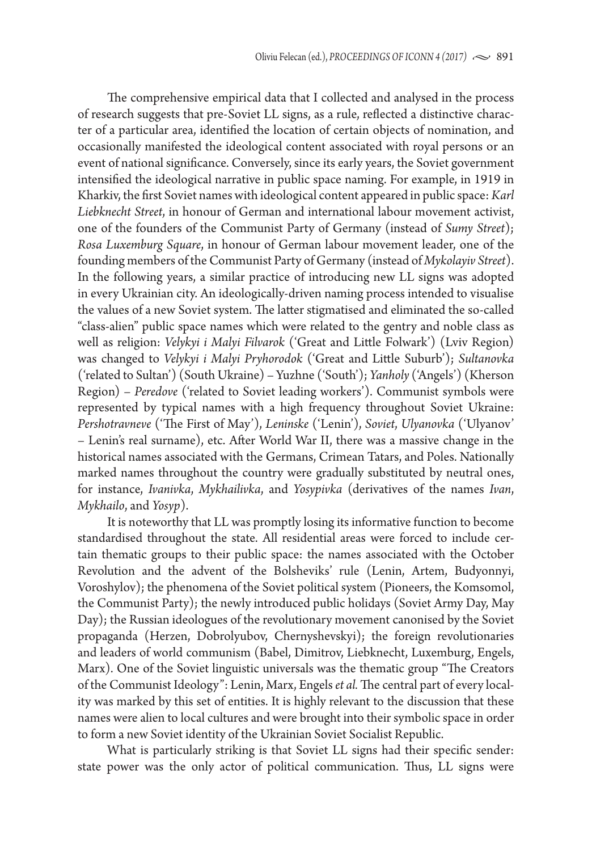The comprehensive empirical data that I collected and analysed in the process of research suggests that pre-Soviet LL signs, as a rule, reflected a distinctive character of a particular area, identified the location of certain objects of nomination, and occasionally manifested the ideological content associated with royal persons or an event of national significance. Conversely, since its early years, the Soviet government intensified the ideological narrative in public space naming. For example, in 1919 in Kharkiv, the first Soviet names with ideological content appeared in public space: *Karl Liebknecht Street*, in honour of German and international labour movement activist, one of the founders of the Communist Party of Germany (instead of *Sumy Street*); *Rosa Luxemburg Square*, in honour of German labour movement leader, one of the founding members of the Communist Party of Germany (instead of *Mykolayiv Street*). In the following years, a similar practice of introducing new LL signs was adopted in every Ukrainian city. An ideologically-driven naming process intended to visualise the values of a new Soviet system. The latter stigmatised and eliminated the so-called "class-alien" public space names which were related to the gentry and noble class as well as religion: *Velykyi i Malyi Filvarok* ('Great and Little Folwark') (Lviv Region) was changed to *Velykyi i Malyi Pryhorodok* ('Great and Little Suburb'); *Sultanovka*  ('related to Sultan') (South Ukraine) – Yuzhne ('South'); *Yanholy* ('Angels') (Kherson Region) – *Peredove* ('related to Soviet leading workers'). Communist symbols were represented by typical names with a high frequency throughout Soviet Ukraine: *Pershotravneve* ('The First of May'), *Leninske* ('Lenin'), *Soviet*, *Ulyanovka* ('Ulyanov' – Lenin's real surname), etc. After World War II, there was a massive change in the historical names associated with the Germans, Crimean Tatars, and Poles. Nationally marked names throughout the country were gradually substituted by neutral ones, for instance, *Ivanivka*, *Mykhailivka*, and *Yosypivka* (derivatives of the names *Ivan*, *Mykhailo*, and *Yosyp*).

It is noteworthy that LL was promptly losing its informative function to become standardised throughout the state. All residential areas were forced to include certain thematic groups to their public space: the names associated with the October Revolution and the advent of the Bolsheviks' rule (Lenin, Artem, Budyonnyi, Voroshylov); the phenomena of the Soviet political system (Pioneers, the Komsomol, the Communist Party); the newly introduced public holidays (Soviet Army Day, May Day); the Russian ideologues of the revolutionary movement canonised by the Soviet propaganda (Herzen, Dobrolyubov, Chernyshevskyi); the foreign revolutionaries and leaders of world communism (Babel, Dimitrov, Liebknecht, Luxemburg, Engels, Marx). One of the Soviet linguistic universals was the thematic group "The Creators of the Communist Ideology": Lenin, Marx, Engels *et al.* The central part of every locality was marked by this set of entities. It is highly relevant to the discussion that these names were alien to local cultures and were brought into their symbolic space in order to form a new Soviet identity of the Ukrainian Soviet Socialist Republic.

What is particularly striking is that Soviet LL signs had their specific sender: state power was the only actor of political communication. Thus, LL signs were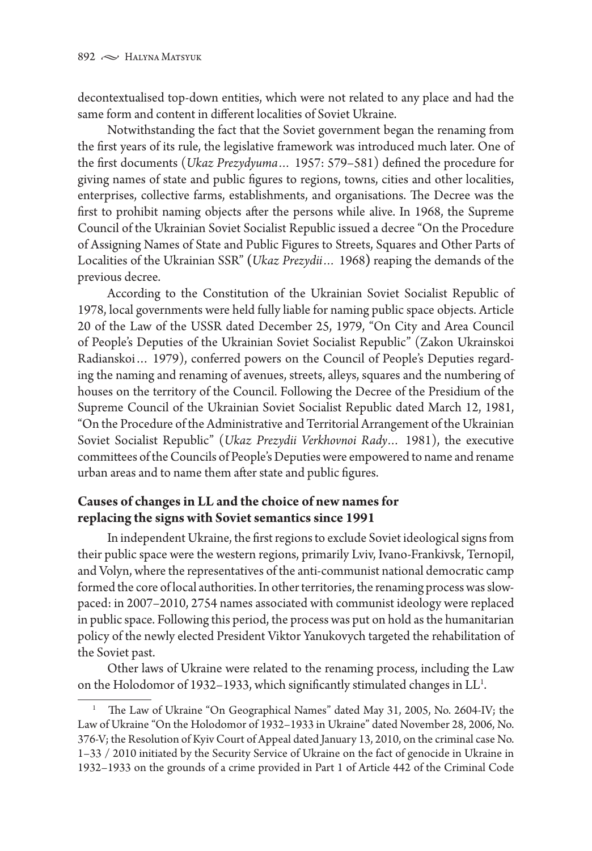decontextualised top-down entities, which were not related to any place and had the same form and content in different localities of Soviet Ukraine.

Notwithstanding the fact that the Soviet government began the renaming from the first years of its rule, the legislative framework was introduced much later. One of the first documents (*Ukaz Prezydyuma…* 1957: 579–581) defined the procedure for giving names of state and public figures to regions, towns, cities and other localities, enterprises, collective farms, establishments, and organisations. The Decree was the first to prohibit naming objects after the persons while alive. In 1968, the Supreme Council of the Ukrainian Soviet Socialist Republic issued a decree "On the Procedure of Assigning Names of State and Public Figures to Streets, Squares and Other Parts of Localities of the Ukrainian SSR" **(***Ukaz Prezydii…* 1968**)** reaping the demands of the previous decree.

According to the Constitution of the Ukrainian Soviet Socialist Republic of 1978, local governments were held fully liable for naming public space objects. Article 20 of the Law of the USSR dated December 25, 1979, "On City and Area Council of People's Deputies of the Ukrainian Soviet Socialist Republic" (Zakon Ukrainskoi Radianskoi… 1979), conferred powers on the Council of People's Deputies regarding the naming and renaming of avenues, streets, alleys, squares and the numbering of houses on the territory of the Council. Following the Decree of the Presidium of the Supreme Council of the Ukrainian Soviet Socialist Republic dated March 12, 1981, "On the Procedure of the Administrative and Territorial Arrangement of the Ukrainian Soviet Socialist Republic" (*Ukaz Prezydii Verkhovnoi Rady…* 1981), the executive committees of the Councils of People's Deputies were empowered to name and rename urban areas and to name them after state and public figures.

## **Causes of changes in LL and the choice of new names for replacing the signs with Soviet semantics since 1991**

In independent Ukraine, the first regions to exclude Soviet ideological signs from their public space were the western regions, primarily Lviv, Ivano-Frankivsk, Ternopil, and Volyn, where the representatives of the anti-communist national democratic camp formed the core of local authorities. In other territories, the renaming process was slowpaced: in 2007–2010, 2754 names associated with communist ideology were replaced in public space. Following this period, the process was put on hold as the humanitarian policy of the newly elected President Viktor Yanukovych targeted the rehabilitation of the Soviet past.

Other laws of Ukraine were related to the renaming process, including the Law on the Holodomor of 1932-1933, which significantly stimulated changes in LL<sup>1</sup>.

The Law of Ukraine "On Geographical Names" dated May 31, 2005, No. 2604-IV; the Law of Ukraine "On the Holodomor of 1932–1933 in Ukraine" dated November 28, 2006, No. 376-V; the Resolution of Kyiv Court of Appeal dated January 13, 2010, on the criminal case No. 1–33 / 2010 initiated by the Security Service of Ukraine on the fact of genocide in Ukraine in 1932–1933 on the grounds of a crime provided in Part 1 of Article 442 of the Criminal Code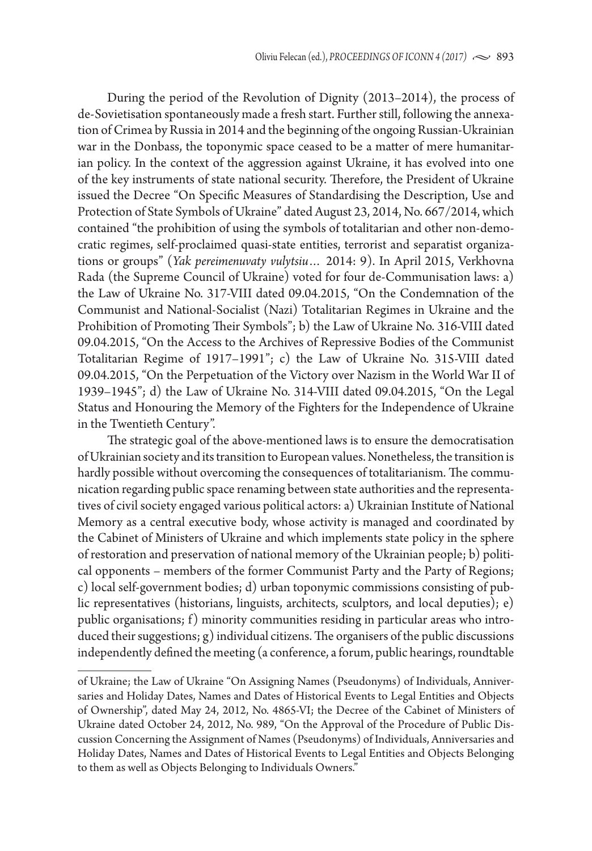During the period of the Revolution of Dignity (2013–2014), the process of de-Sovietisation spontaneously made a fresh start. Further still, following the annexation of Crimea by Russia in 2014 and the beginning of the ongoing Russian-Ukrainian war in the Donbass, the toponymic space ceased to be a matter of mere humanitarian policy. In the context of the aggression against Ukraine, it has evolved into one of the key instruments of state national security. Therefore, the President of Ukraine issued the Decree "On Specific Measures of Standardising the Description, Use and Protection of State Symbols of Ukraine" dated August 23, 2014, No. 667/2014, which contained "the prohibition of using the symbols of totalitarian and other non-democratic regimes, self-proclaimed quasi-state entities, terrorist and separatist organizations or groups" (*Yak pereimenuvaty vulytsiu…* 2014: 9). In April 2015, Verkhovna Rada (the Supreme Council of Ukraine) voted for four de-Communisation laws: a) the Law of Ukraine No. 317-VIII dated 09.04.2015, "On the Condemnation of the Communist and National-Socialist (Nazi) Totalitarian Regimes in Ukraine and the Prohibition of Promoting Their Symbols"; b) the Law of Ukraine No. 316-VIII dated 09.04.2015, "On the Access to the Archives of Repressive Bodies of the Communist Totalitarian Regime of 1917–1991"; c) the Law of Ukraine No. 315-VIII dated 09.04.2015, "On the Perpetuation of the Victory over Nazism in the World War II of 1939–1945"; d) the Law of Ukraine No. 314-VIII dated 09.04.2015, "On the Legal Status and Honouring the Memory of the Fighters for the Independence of Ukraine in the Twentieth Century".

The strategic goal of the above-mentioned laws is to ensure the democratisation of Ukrainian society and its transition to European values. Nonetheless, the transition is hardly possible without overcoming the consequences of totalitarianism. The communication regarding public space renaming between state authorities and the representatives of civil society engaged various political actors: a) Ukrainian Institute of National Memory as a central executive body, whose activity is managed and coordinated by the Cabinet of Ministers of Ukraine and which implements state policy in the sphere of restoration and preservation of national memory of the Ukrainian people; b) political opponents – members of the former Communist Party and the Party of Regions; c) local self-government bodies; d) urban toponymic commissions consisting of public representatives (historians, linguists, architects, sculptors, and local deputies); e) public organisations; f) minority communities residing in particular areas who introduced their suggestions; g) individual citizens. The organisers of the public discussions independently defined the meeting (a conference, a forum, public hearings, roundtable

of Ukraine; the Law of Ukraine "On Assigning Names (Pseudonyms) of Individuals, Anniversaries and Holiday Dates, Names and Dates of Historical Events to Legal Entities and Objects of Ownership", dated May 24, 2012, No. 4865-VI; the Decree of the Cabinet of Ministers of Ukraine dated October 24, 2012, No. 989, "On the Approval of the Procedure of Public Discussion Concerning the Assignment of Names (Pseudonyms) of Individuals, Anniversaries and Holiday Dates, Names and Dates of Historical Events to Legal Entities and Objects Belonging to them as well as Objects Belonging to Individuals Owners."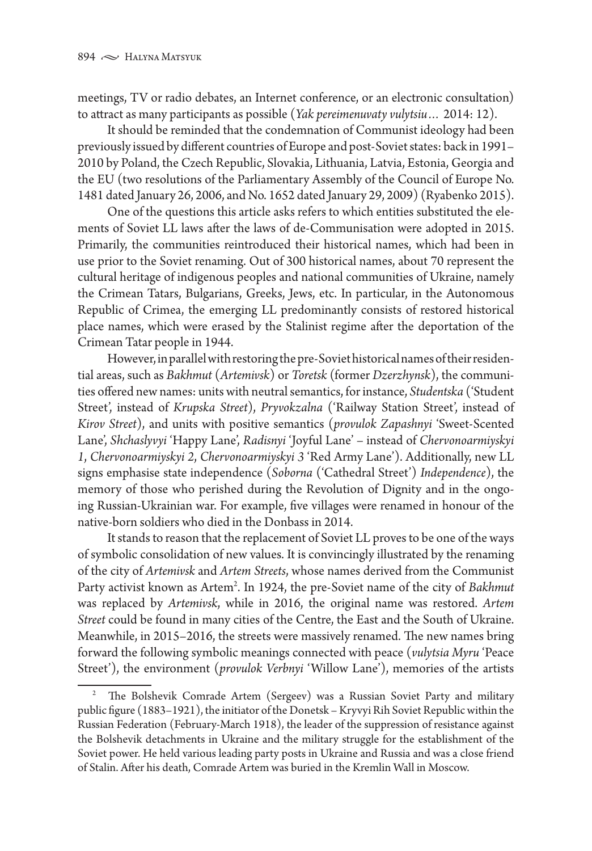meetings, TV or radio debates, an Internet conference, or an electronic consultation) to attract as many participants as possible (*Yak pereimenuvaty vulytsiu…* 2014: 12).

It should be reminded that the condemnation of Communist ideology had been previously issued by different countries of Europe and post-Soviet states: back in 1991– 2010 by Poland, the Czech Republic, Slovakia, Lithuania, Latvia, Estonia, Georgia and the EU (two resolutions of the Parliamentary Assembly of the Council of Europe No. 1481 dated January 26, 2006, and No. 1652 dated January 29, 2009) (Ryabenko 2015).

One of the questions this article asks refers to which entities substituted the elements of Soviet LL laws after the laws of de-Communisation were adopted in 2015. Primarily, the communities reintroduced their historical names, which had been in use prior to the Soviet renaming. Out of 300 historical names, about 70 represent the cultural heritage of indigenous peoples and national communities of Ukraine, namely the Crimean Tatars, Bulgarians, Greeks, Jews, etc. In particular, in the Autonomous Republic of Crimea, the emerging LL predominantly consists of restored historical place names, which were erased by the Stalinist regime after the deportation of the Crimean Tatar people in 1944.

However, in parallel with restoring the pre-Soviet historical names of their residential areas, such as *Bakhmut* (*Artemivsk*) or *Toretsk* (former *Dzerzhynsk*), the communities offered new names: units with neutral semantics, for instance, *Studentska* ('Student Street', instead of *Krupska Street*), *Pryvokzalna* ('Railway Station Street', instead of *Kirov Street*), and units with positive semantics (*provulok Zapashnyi* 'Sweet-Scented Lane', *Shchaslyvyi* 'Happy Lane', *Radisnyi* 'Joyful Lane' – instead of *Chervonoarmiyskyi 1*, *Chervonoarmiyskyi 2*, *Chervonoarmiyskyi 3* 'Red Army Lane'). Additionally, new LL signs emphasise state independence (*Soborna* ('Cathedral Street') *Independence*), the memory of those who perished during the Revolution of Dignity and in the ongoing Russian-Ukrainian war. For example, five villages were renamed in honour of the native-born soldiers who died in the Donbass in 2014.

It stands to reason that the replacement of Soviet LL proves to be one of the ways of symbolic consolidation of new values. It is convincingly illustrated by the renaming of the city of *Artemivsk* and *Artem Streets*, whose names derived from the Communist Party activist known as Artem<sup>2</sup>. In 1924, the pre-Soviet name of the city of *Bakhmut* was replaced by *Artemivsk*, while in 2016, the original name was restored. *Artem Street* could be found in many cities of the Centre, the East and the South of Ukraine. Meanwhile, in 2015–2016, the streets were massively renamed. The new names bring forward the following symbolic meanings connected with peace (*vulytsia Myru* 'Peace Street'), the environment (*provulok Verbnyi* 'Willow Lane'), memories of the artists

<sup>&</sup>lt;sup>2</sup> The Bolshevik Comrade Artem (Sergeev) was a Russian Soviet Party and military public figure (1883–1921), the initiator of the Donetsk – Kryvyi Rih Soviet Republic within the Russian Federation (February-March 1918), the leader of the suppression of resistance against the Bolshevik detachments in Ukraine and the military struggle for the establishment of the Soviet power. He held various leading party posts in Ukraine and Russia and was a close friend of Stalin. After his death, Comrade Artem was buried in the Kremlin Wall in Moscow.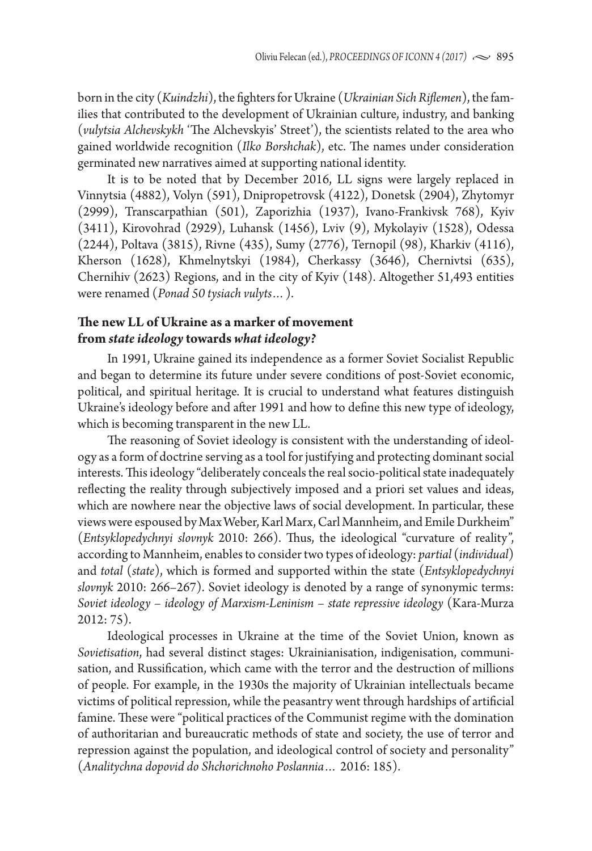born in the city (*Kuindzhi*), the fighters for Ukraine (*Ukrainian Sich Riflemen*), the families that contributed to the development of Ukrainian culture, industry, and banking (*vulytsia Alchevskykh* 'The Alchevskyis' Street'), the scientists related to the area who gained worldwide recognition (*Ilko Borshchak*), etc. The names under consideration germinated new narratives aimed at supporting national identity.

It is to be noted that by December 2016, LL signs were largely replaced in Vinnytsia (4882), Volyn (591), Dnipropetrovsk (4122), Donetsk (2904), Zhytomyr (2999), Transcarpathian (501), Zaporizhia (1937), Ivano-Frankivsk 768), Kyiv (3411), Kirovohrad (2929), Luhansk (1456), Lviv (9), Mykolayiv (1528), Odessa (2244), Poltava (3815), Rivne (435), Sumy (2776), Ternopil (98), Kharkiv (4116), Kherson (1628), Khmelnytskyi (1984), Cherkassy (3646), Chernivtsi (635), Chernihiv (2623) Regions, and in the city of Kyiv (148). Altogether 51,493 entities were renamed (*Ponad 50 tysiach vulyts…*).

### **The new LL of Ukraine as a marker of movement from** *state ideology* **towards** *what ideology?*

In 1991, Ukraine gained its independence as a former Soviet Socialist Republic and began to determine its future under severe conditions of post-Soviet economic, political, and spiritual heritage. It is crucial to understand what features distinguish Ukraine's ideology before and after 1991 and how to define this new type of ideology, which is becoming transparent in the new LL.

The reasoning of Soviet ideology is consistent with the understanding of ideology as a form of doctrine serving as a tool for justifying and protecting dominant social interests. This ideology "deliberately conceals the real socio-political state inadequately reflecting the reality through subjectively imposed and a priori set values and ideas, which are nowhere near the objective laws of social development. In particular, these views were espoused by Max Weber, Karl Marx, Carl Mannheim, and Emile Durkheim" (*Entsyklopedychnyi slovnyk* 2010: 266). Thus, the ideological "curvature of reality", according to Mannheim, enables to consider two types of ideology: *partial* (*individual*) and *total* (*state*), which is formed and supported within the state (*Entsyklopedychnyi slovnyk* 2010: 266–267). Soviet ideology is denoted by a range of synonymic terms: *Soviet ideology – ideology of Marxism-Leninism – state repressive ideology* (Kara-Murza 2012: 75).

Ideological processes in Ukraine at the time of the Soviet Union, known as *Sovietisation*, had several distinct stages: Ukrainianisation, indigenisation, communisation, and Russification, which came with the terror and the destruction of millions of people. For example, in the 1930s the majority of Ukrainian intellectuals became victims of political repression, while the peasantry went through hardships of artificial famine. These were "political practices of the Communist regime with the domination of authoritarian and bureaucratic methods of state and society, the use of terror and repression against the population, and ideological control of society and personality" (*Analitychna dopovid do Shchorichnoho Poslannia…* 2016: 185).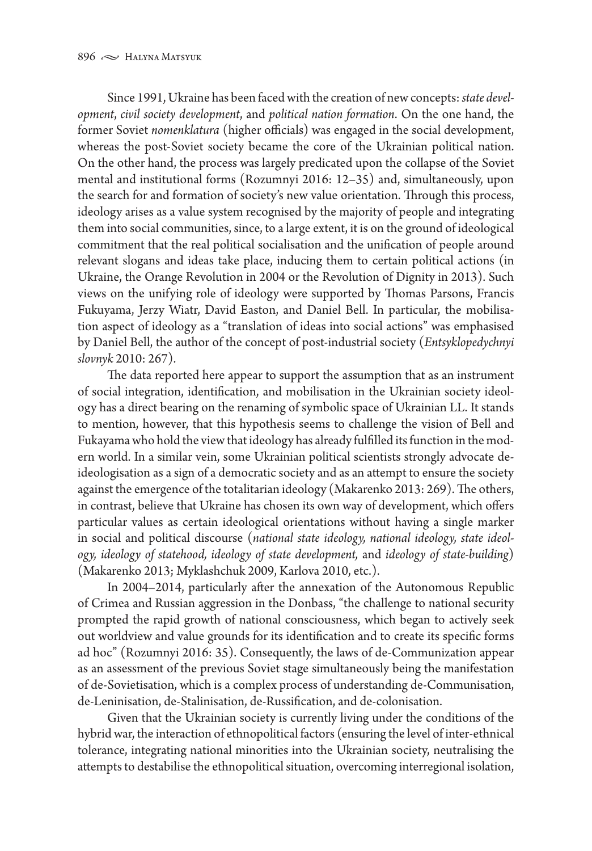Since 1991, Ukraine has been faced with the creation of new concepts: *state development*, *civil society development*, and *political nation formation*. On the one hand, the former Soviet *nomenklatura* (higher officials) was engaged in the social development, whereas the post-Soviet society became the core of the Ukrainian political nation. On the other hand, the process was largely predicated upon the collapse of the Soviet mental and institutional forms (Rozumnyi 2016: 12–35) and, simultaneously, upon the search for and formation of society's new value orientation. Through this process, ideology arises as a value system recognised by the majority of people and integrating them into social communities, since, to a large extent, it is on the ground of ideological commitment that the real political socialisation and the unification of people around relevant slogans and ideas take place, inducing them to certain political actions (in Ukraine, the Orange Revolution in 2004 or the Revolution of Dignity in 2013). Such views on the unifying role of ideology were supported by Thomas Parsons, Francis Fukuyama, Jerzy Wiatr, David Easton, and Daniel Bell. In particular, the mobilisation aspect of ideology as a "translation of ideas into social actions" was emphasised by Daniel Bell, the author of the concept of post-industrial society (*Entsyklopedychnyi slovnyk* 2010: 267).

The data reported here appear to support the assumption that as an instrument of social integration, identification, and mobilisation in the Ukrainian society ideology has a direct bearing on the renaming of symbolic space of Ukrainian LL. It stands to mention, however, that this hypothesis seems to challenge the vision of Bell and Fukayama who hold the view that ideology has already fulfilled its function in the modern world. In a similar vein, some Ukrainian political scientists strongly advocate deideologisation as a sign of a democratic society and as an attempt to ensure the society against the emergence of the totalitarian ideology (Makarenko 2013: 269). The others, in contrast, believe that Ukraine has chosen its own way of development, which offers particular values as certain ideological orientations without having a single marker in social and political discourse (*national state ideology, national ideology, state ideology, ideology of statehood, ideology of state development,* and *ideology of state-building*) (Makarenko 2013; Myklashchuk 2009, Karlova 2010, etc.).

In 2004–2014, particularly after the annexation of the Autonomous Republic of Crimea and Russian aggression in the Donbass, "the challenge to national security prompted the rapid growth of national consciousness, which began to actively seek out worldview and value grounds for its identification and to create its specific forms ad hoc" (Rozumnyi 2016: 35). Consequently, the laws of de-Communization appear as an assessment of the previous Soviet stage simultaneously being the manifestation of de-Sovietisation, which is a complex process of understanding de-Communisation, de-Leninisation, de-Stalinisation, de-Russification, and de-colonisation.

Given that the Ukrainian society is currently living under the conditions of the hybrid war, the interaction of ethnopolitical factors (ensuring the level of inter-ethnical tolerance, integrating national minorities into the Ukrainian society, neutralising the attempts to destabilise the ethnopolitical situation, overcoming interregional isolation,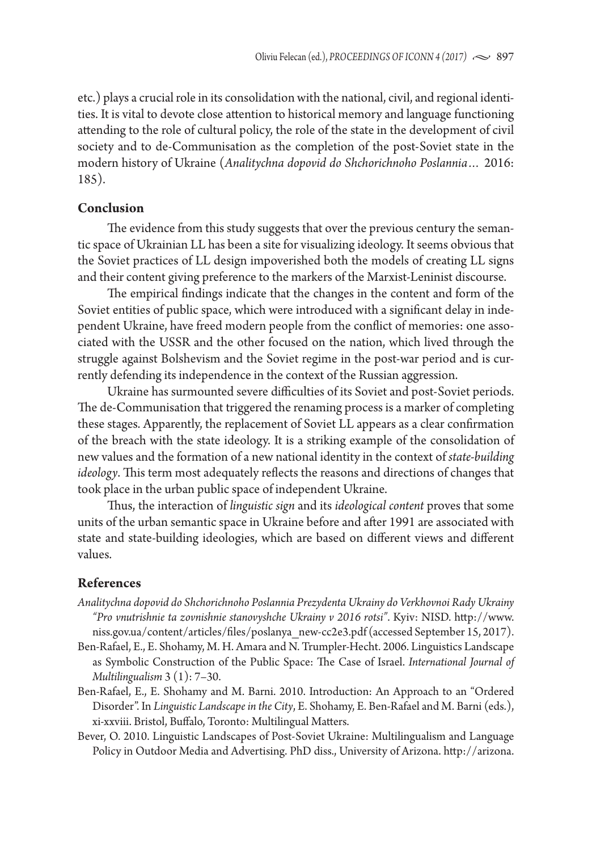etc.) plays a crucial role in its consolidation with the national, civil, and regional identities. It is vital to devote close attention to historical memory and language functioning attending to the role of cultural policy, the role of the state in the development of civil society and to de-Communisation as the completion of the post-Soviet state in the modern history of Ukraine (*Analitychna dopovid do Shchorichnoho Poslannia…* 2016: 185).

#### **Conclusion**

The evidence from this study suggests that over the previous century the semantic space of Ukrainian LL has been a site for visualizing ideology. It seems obvious that the Soviet practices of LL design impoverished both the models of creating LL signs and their content giving preference to the markers of the Marxist-Leninist discourse.

The empirical findings indicate that the changes in the content and form of the Soviet entities of public space, which were introduced with a significant delay in independent Ukraine, have freed modern people from the conflict of memories: one associated with the USSR and the other focused on the nation, which lived through the struggle against Bolshevism and the Soviet regime in the post-war period and is currently defending its independence in the context of the Russian aggression.

Ukraine has surmounted severe difficulties of its Soviet and post-Soviet periods. The de-Communisation that triggered the renaming process is a marker of completing these stages. Apparently, the replacement of Soviet LL appears as a clear confirmation of the breach with the state ideology. It is a striking example of the consolidation of new values and the formation of a new national identity in the context of *state-building ideology*. This term most adequately reflects the reasons and directions of changes that took place in the urban public space of independent Ukraine.

Thus, the interaction of *linguistic sign* and its *ideological content* proves that some units of the urban semantic space in Ukraine before and after 1991 are associated with state and state-building ideologies, which are based on different views and different values.

### **References**

- *Analitychna dopovid do Shchorichnoho Poslannia Prezydenta Ukrainy do Verkhovnoi Rady Ukrainy "Pro vnutrishnie ta zovnishnie stanovyshche Ukrainy v 2016 rotsi"*. Kyiv: NISD. http://www. niss.gov.ua/content/articles/files/poslanya\_new-cc2e3.pdf (accessed September 15, 2017).
- Ben-Rafael, E., E. Shohamy, M. H. Amara and N. Trumpler-Hecht. 2006. Linguistics Landscape as Symbolic Construction of the Public Space: The Case of Israel. *International Journal of Multilingualism* 3 (1): 7–30.
- Ben-Rafael, E., E. Shohamy and M. Barni. 2010. Introduction: An Approach to an "Ordered Disorder". In *Linguistic Landscape in the City*, E. Shohamy, E. Ben-Rafael and M. Barni (eds.), xi-xxviii. Bristol, Buffalo, Toronto: Multilingual Matters.
- Bever, O. 2010. Linguistic Landscapes of Post-Soviet Ukraine: Multilingualism and Language Policy in Outdoor Media and Advertising. PhD diss., University of Arizona. http://arizona.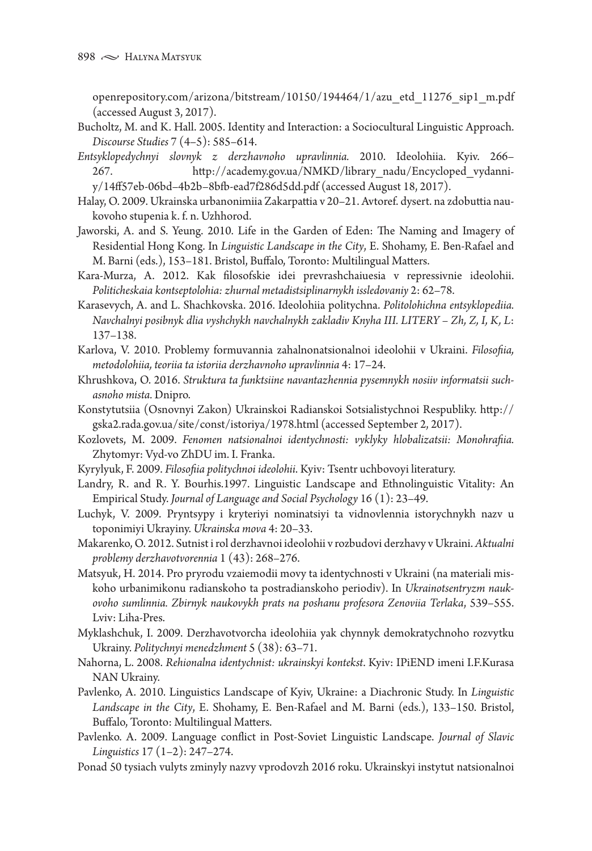openrepository.com/arizona/bitstream/10150/194464/1/azu\_etd\_11276\_sip1\_m.pdf (accessed August 3, 2017).

- Bucholtz, M. and K. Hall. 2005. Identity and Interaction: a Sociocultural Linguistic Approach. *Discourse Studies* 7 (4–5): 585–614.
- *Entsyklopedychnyi slovnyk z derzhavnoho upravlinnia.* 2010. Ideolohiia. Kyiv. 266– 267. http://academy.gov.ua/NMKD/library\_nadu/Encycloped\_vydanniy/14ff57eb-06bd–4b2b–8bfb-ead7f286d5dd.pdf (accessed August 18, 2017).
- Halay, O. 2009. Ukrainska urbanonimiia Zakarpattia v 20–21. Avtoref. dysert. na zdobuttia naukovoho stupenia k. f. n. Uzhhorod.
- Jaworski, A. and S. Yeung. 2010. Life in the Garden of Eden: The Naming and Imagery of Residential Hong Kong. In *Linguistic Landscape in the City*, E. Shohamy, E. Ben-Rafael and M. Barni (eds.), 153–181. Bristol, Buffalo, Toronto: Multilingual Matters.
- Kara-Murza, A. 2012. Kak filosofskie idei prevrashchaiuеsia v repressivnie ideolohii. *Politicheskaia kontseptolohia: zhurnal metadistsiplinarnykh issledovaniy* 2: 62–78.
- Karasevych, A. and L. Shachkovska. 2016. Ideolohiia politychna. *Politolohichna entsyklopediia. Navchalnyi posibnyk dlia vyshchykh navchalnykh zakladiv Knyha III. LITERY – Zh, Z, I, K, L*: 137–138.
- Karlova, V. 2010. Problemy formuvannia zahalnonatsionalnoi ideolohii v Ukraini. *Filosofiia, metodolohiia, teoriia ta istoriia derzhavnoho upravlinnia* 4: 17–24.
- Khrushkova, O. 2016. *Struktura ta funktsiine navantazhennia pysemnykh nosiiv informatsii suchasnoho mista.* Dnipro.
- Konstytutsiia (Osnovnyi Zakon) Ukrainskoi Radianskoi Sotsialistychnoi Respubliky. http:// gska2.rada.gov.ua/site/const/istoriya/1978.html (accessed September 2, 2017).
- Kozlovets, M. 2009. *Fenomen natsionalnoi identychnosti: vyklyky hlobalizatsii: Monohrafiia.* Zhytomyr: Vyd-vo ZhDU im. I. Franka.
- Kyrylyuk, F. 2009. *Filosofiia politychnoi ideolohii*. Kyiv: Tsentr uchbovoyi literatury.
- Landry, R. and R. Y. Bourhis.1997. Linguistic Landscape and Ethnolinguistic Vitality: An Empirical Study. *Journal of Language and Social Psychology* 16 (1): 23–49.
- Luchyk, V. 2009. Pryntsypy i kryteriyi nominatsiyi ta vidnovlennia istorychnykh nazv u toponimiyi Ukrayiny. *Ukrainska mova* 4: 20–33.
- Makarenko, O. 2012. Sutnist i rol derzhavnoi ideolohii v rozbudovi derzhavy v Ukraini. *Aktualni problemy derzhavotvorennia* 1 (43): 268–276.
- Matsyuk, H. 2014. Pro pryrodu vzaiemodii movy ta identychnosti v Ukraini (na materiali miskoho urbanimikonu radianskoho ta postradianskoho periodiv). In *Ukrainotsentryzm naukovoho sumlinnia. Zbirnyk naukovykh prats na poshanu profesora Zenoviia Terlaka*, 539–555. Lviv: Liha-Pres.
- Myklashchuk, I. 2009. Derzhavotvorcha ideolohiia yak chynnyk demokratychnoho rozvytku Ukrainy. *Politychnyi menedzhment* 5 (38): 63–71.
- Nahorna, L. 2008. *Rehionalna identychnist: ukrainskyi kontekst*. Kyiv: IPiEND imeni I.F.Kurasa NAN Ukrainy.
- Pavlenko, А. 2010. Linguistics Landscape of Kyiv, Ukraine: a Diachronic Study. In *Linguistic Landscape in the City*, E. Shohamy, E. Ben-Rafael and M. Barni (eds.), 133–150. Bristol, Buffalo, Toronto: Multilingual Matters.
- Pavlenko. A. 2009. Language conflict in Post-Soviet Linguistic Landscape. *Journal of Slavic Linguistics* 17 (1–2): 247–274.
- Ponad 50 tysiach vulyts zminyly nazvy vprodovzh 2016 roku. Ukrainskyi instytut natsionalnoi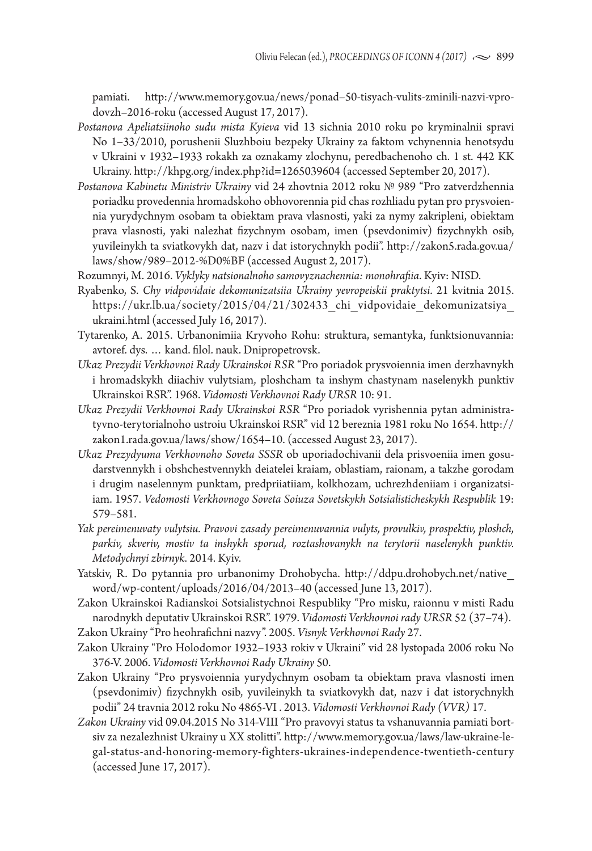pamiati. http://www.memory.gov.ua/news/ponad–50-tisyach-vulits-zminili-nazvi-vprodovzh–2016-roku (accessed August 17, 2017).

- *Postanova Apeliatsiinoho sudu mista Kyieva* vid 13 sichnia 2010 roku po kryminalnii spravi No 1–33/2010, porushenii Sluzhboiu bezpeky Ukrainy za faktom vchynennia henotsydu v Ukraini v 1932–1933 rokakh za oznakamy zlochynu, peredbachenoho ch. 1 st. 442 KK Ukrainy. http://khpg.org/index.php?id=1265039604 (accessed September 20, 2017).
- *Postanova Kabinetu Ministriv Ukrainy* vid 24 zhovtnia 2012 roku № 989 "Pro zatverdzhennia poriadku provedennia hromadskoho obhovorennia pid chas rozhliadu pytan pro prysvoiennia yurydychnym osobam ta obiektam prava vlasnosti, yaki za nymy zakripleni, obiektam prava vlasnosti, yaki nalezhat fizychnym osobam, imen (psevdonimiv) fizychnykh osib, yuvileinykh ta sviatkovykh dat, nazv i dat istorychnykh podii". http://zakon5.rada.gov.ua/ laws/show/989–2012-%D0%BF (accessed August 2, 2017).
- Rozumnyi, M. 2016. *Vyklyky natsionalnoho samovyznachennia: monohrafiia*. Kyiv: NISD.
- Ryabenko, S. *Chy vidpovidaie dekomunizatsiia Ukrainy yevropeiskii praktytsi*. 21 kvitnia 2015. https://ukr.lb.ua/society/2015/04/21/302433\_chi\_vidpovidaie\_dekomunizatsiya\_ ukraini.html (accessed July 16, 2017).
- Tytarenko, A. 2015. Urbanonimiia Kryvoho Rohu: struktura, semantyka, funktsionuvannia: avtoref. dys. … kand. filol. nauk. Dnipropetrovsk.
- *Ukaz Prezydii Verkhovnoi Rady Ukrainskoi RSR* "Pro poriadok prysvoiennia imen derzhavnykh i hromadskykh diiachiv vulytsiam, ploshcham ta inshym chastynam naselenykh punktiv Ukrainskoi RSR". 1968. *Vidomosti Verkhovnoi Rady URSR* 10: 91.
- *Ukaz Prezydii Verkhovnoi Rady Ukrainskoi RSR* "Pro poriadok vyrishennia pytan administratyvno-terytorialnoho ustroiu Ukrainskoi RSR" vid 12 bereznia 1981 roku No 1654. http:// zakon1.rada.gov.ua/laws/show/1654–10. (accessed August 23, 2017).
- *Ukaz Prezydyuma Verkhovnoho Soveta SSSR* ob uporiadochivanii dela prisvoeniia imen gosudarstvennykh i obshchestvennykh deiatelei kraiam, oblastiam, raionam, a takzhe gorodam i drugim naselennym punktam, predpriiatiiam, kolkhozam, uchrezhdeniiam i organizatsiiam. 1957. *Vedomosti Verkhovnogo Soveta Soiuza Sovetskykh Sotsialisticheskykh Respublik* 19: 579–581.
- *Yak pereimenuvaty vulytsiu. Pravovi zasady pereimenuvannia vulyts, provulkiv, prospektiv, ploshch, parkiv, skveriv, mostiv ta inshykh sporud, roztashovanykh na terytorii naselenykh punktiv. Metodychnyi zbirnyk*. 2014. Kyiv.
- Yatskiv, R. Do pytannia pro urbanonimy Drohobycha. http://ddpu.drohobych.net/native\_ word/wp-content/uploads/2016/04/2013–40 (accessed June 13, 2017).
- Zakon Ukrainskoi Radianskoi Sotsialistychnoi Respubliky "Pro misku, raionnu v misti Radu narodnykh deputativ Ukrainskoi RSR". 1979. *Vidomosti Verkhovnoi rady URSR* 52 (37–74).

Zakon Ukrainy "Pro heohrafichni nazvy". 2005. *Visnyk Verkhovnoi Rady* 27.

- Zakon Ukrainy "Pro Holodomor 1932–1933 rokiv v Ukraini" vid 28 lystopada 2006 roku No 376-V. 2006. *Vidomosti Verkhovnoi Rady Ukrainy* 50.
- Zakon Ukrainy "Pro prysvoiennia yurydychnym osobam ta obiektam prava vlasnosti imen (psevdonimiv) fizychnykh osib, yuvileinykh ta sviatkovykh dat, nazv i dat istorychnykh podii" 24 travnia 2012 roku No 4865-VI . 2013. *Vidomosti Verkhovnoi Rady (VVR)* 17.
- *Zakon Ukrainy* vid 09.04.2015 No 314-VIII "Pro pravovyi status ta vshanuvannia pamiati bortsiv za nezalezhnist Ukrainy u XX stolitti". http://www.memory.gov.ua/laws/law-ukraine-legal-status-and-honoring-memory-fighters-ukraines-independence-twentieth-century (accessed June 17, 2017).